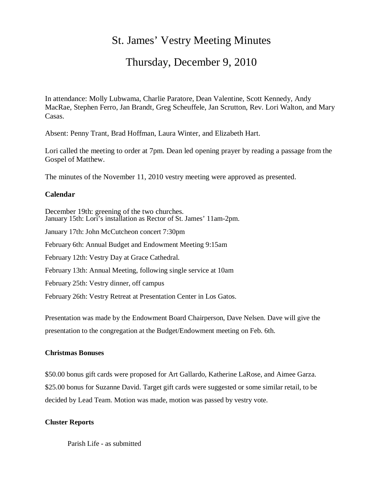# St. James' Vestry Meeting Minutes

# Thursday, December 9, 2010

In attendance: Molly Lubwama, Charlie Paratore, Dean Valentine, Scott Kennedy, Andy MacRae, Stephen Ferro, Jan Brandt, Greg Scheuffele, Jan Scrutton, Rev. Lori Walton, and Mary Casas.

Absent: Penny Trant, Brad Hoffman, Laura Winter, and Elizabeth Hart.

Lori called the meeting to order at 7pm. Dean led opening prayer by reading a passage from the Gospel of Matthew.

The minutes of the November 11, 2010 vestry meeting were approved as presented.

### **Calendar**

December 19th: greening of the two churches. January 15th: Lori's installation as Rector of St. James' 11am-2pm. January 17th: John McCutcheon concert 7:30pm February 6th: Annual Budget and Endowment Meeting 9:15am February 12th: Vestry Day at Grace Cathedral. February 13th: Annual Meeting, following single service at 10am February 25th: Vestry dinner, off campus February 26th: Vestry Retreat at Presentation Center in Los Gatos.

Presentation was made by the Endowment Board Chairperson, Dave Nelsen. Dave will give the presentation to the congregation at the Budget/Endowment meeting on Feb. 6th.

## **Christmas Bonuses**

\$50.00 bonus gift cards were proposed for Art Gallardo, Katherine LaRose, and Aimee Garza. \$25.00 bonus for Suzanne David. Target gift cards were suggested or some similar retail, to be decided by Lead Team. Motion was made, motion was passed by vestry vote.

### **Cluster Reports**

Parish Life - as submitted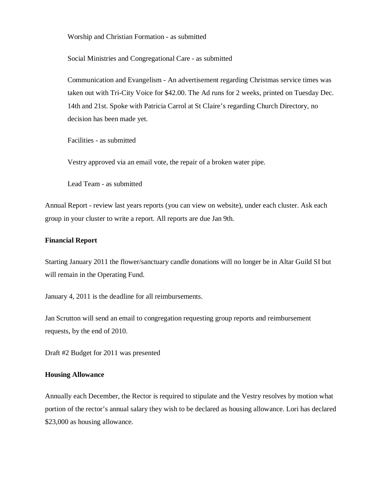Worship and Christian Formation - as submitted

Social Ministries and Congregational Care - as submitted

Communication and Evangelism - An advertisement regarding Christmas service times was taken out with Tri-City Voice for \$42.00. The Ad runs for 2 weeks, printed on Tuesday Dec. 14th and 21st. Spoke with Patricia Carrol at St Claire's regarding Church Directory, no decision has been made yet.

Facilities - as submitted

Vestry approved via an email vote, the repair of a broken water pipe.

Lead Team - as submitted

Annual Report - review last years reports (you can view on website), under each cluster. Ask each group in your cluster to write a report. All reports are due Jan 9th.

#### **Financial Report**

Starting January 2011 the flower/sanctuary candle donations will no longer be in Altar Guild SI but will remain in the Operating Fund.

January 4, 2011 is the deadline for all reimbursements.

Jan Scrutton will send an email to congregation requesting group reports and reimbursement requests, by the end of 2010.

Draft #2 Budget for 2011 was presented

#### **Housing Allowance**

Annually each December, the Rector is required to stipulate and the Vestry resolves by motion what portion of the rector's annual salary they wish to be declared as housing allowance. Lori has declared \$23,000 as housing allowance.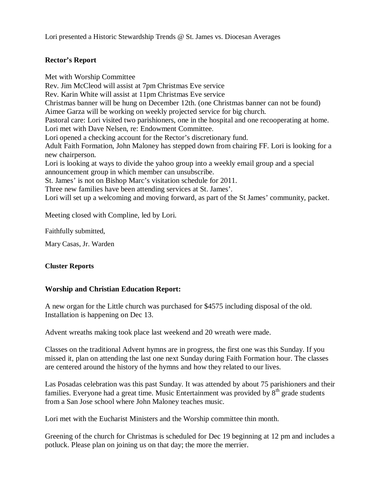Lori presented a Historic Stewardship Trends @ St. James vs. Diocesan Averages

### **Rector's Report**

Met with Worship Committee Rev. Jim McCleod will assist at 7pm Christmas Eve service Rev. Karin White will assist at 11pm Christmas Eve service Christmas banner will be hung on December 12th. (one Christmas banner can not be found) Aimee Garza will be working on weekly projected service for big church. Pastoral care: Lori visited two parishioners, one in the hospital and one recooperating at home. Lori met with Dave Nelsen, re: Endowment Committee. Lori opened a checking account for the Rector's discretionary fund. Adult Faith Formation, John Maloney has stepped down from chairing FF. Lori is looking for a new chairperson. Lori is looking at ways to divide the yahoo group into a weekly email group and a special announcement group in which member can unsubscribe. St. James' is not on Bishop Marc's visitation schedule for 2011. Three new families have been attending services at St. James'. Lori will set up a welcoming and moving forward, as part of the St James' community, packet.

Meeting closed with Compline, led by Lori.

Faithfully submitted,

Mary Casas, Jr. Warden

### **Cluster Reports**

### **Worship and Christian Education Report:**

A new organ for the Little church was purchased for \$4575 including disposal of the old. Installation is happening on Dec 13.

Advent wreaths making took place last weekend and 20 wreath were made.

Classes on the traditional Advent hymns are in progress, the first one was this Sunday. If you missed it, plan on attending the last one next Sunday during Faith Formation hour. The classes are centered around the history of the hymns and how they related to our lives.

Las Posadas celebration was this past Sunday. It was attended by about 75 parishioners and their families. Everyone had a great time. Music Entertainment was provided by  $8<sup>th</sup>$  grade students from a San Jose school where John Maloney teaches music.

Lori met with the Eucharist Ministers and the Worship committee thin month.

Greening of the church for Christmas is scheduled for Dec 19 beginning at 12 pm and includes a potluck. Please plan on joining us on that day; the more the merrier.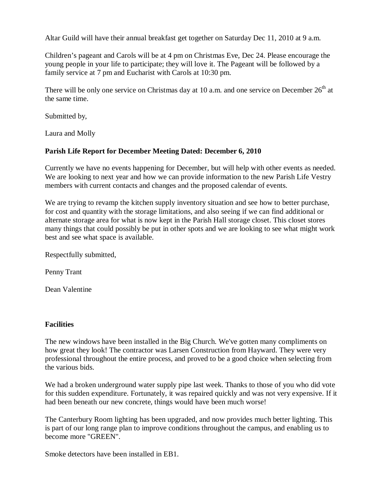Altar Guild will have their annual breakfast get together on Saturday Dec 11, 2010 at 9 a.m.

Children's pageant and Carols will be at 4 pm on Christmas Eve, Dec 24. Please encourage the young people in your life to participate; they will love it. The Pageant will be followed by a family service at 7 pm and Eucharist with Carols at 10:30 pm.

There will be only one service on Christmas day at 10 a.m. and one service on December  $26<sup>th</sup>$  at the same time.

Submitted by,

Laura and Molly

## **Parish Life Report for December Meeting Dated: December 6, 2010**

Currently we have no events happening for December, but will help with other events as needed. We are looking to next year and how we can provide information to the new Parish Life Vestry members with current contacts and changes and the proposed calendar of events.

We are trying to revamp the kitchen supply inventory situation and see how to better purchase, for cost and quantity with the storage limitations, and also seeing if we can find additional or alternate storage area for what is now kept in the Parish Hall storage closet. This closet stores many things that could possibly be put in other spots and we are looking to see what might work best and see what space is available.

Respectfully submitted,

Penny Trant

Dean Valentine

## **Facilities**

The new windows have been installed in the Big Church. We've gotten many compliments on how great they look! The contractor was Larsen Construction from Hayward. They were very professional throughout the entire process, and proved to be a good choice when selecting from the various bids.

We had a broken underground water supply pipe last week. Thanks to those of you who did vote for this sudden expenditure. Fortunately, it was repaired quickly and was not very expensive. If it had been beneath our new concrete, things would have been much worse!

The Canterbury Room lighting has been upgraded, and now provides much better lighting. This is part of our long range plan to improve conditions throughout the campus, and enabling us to become more "GREEN".

Smoke detectors have been installed in EB1.